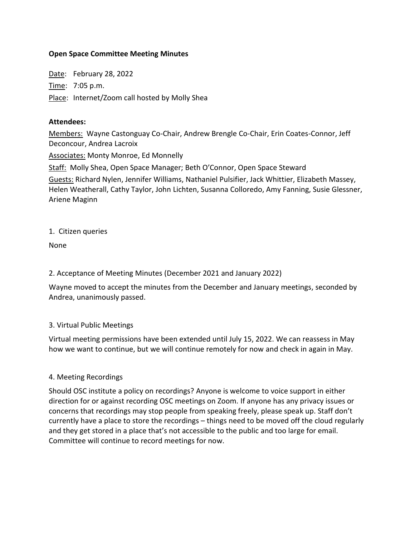## **Open Space Committee Meeting Minutes**

Date: February 28, 2022 Time: 7:05 p.m. Place: Internet/Zoom call hosted by Molly Shea

#### **Attendees:**

Members: Wayne Castonguay Co-Chair, Andrew Brengle Co-Chair, Erin Coates-Connor, Jeff Deconcour, Andrea Lacroix

Associates: Monty Monroe, Ed Monnelly

Staff: Molly Shea, Open Space Manager; Beth O'Connor, Open Space Steward Guests: Richard Nylen, Jennifer Williams, Nathaniel Pulsifier, Jack Whittier, Elizabeth Massey, Helen Weatherall, Cathy Taylor, John Lichten, Susanna Colloredo, Amy Fanning, Susie Glessner, Ariene Maginn

1. Citizen queries

None

## 2. Acceptance of Meeting Minutes (December 2021 and January 2022)

Wayne moved to accept the minutes from the December and January meetings, seconded by Andrea, unanimously passed.

### 3. Virtual Public Meetings

Virtual meeting permissions have been extended until July 15, 2022. We can reassess in May how we want to continue, but we will continue remotely for now and check in again in May.

### 4. Meeting Recordings

Should OSC institute a policy on recordings? Anyone is welcome to voice support in either direction for or against recording OSC meetings on Zoom. If anyone has any privacy issues or concerns that recordings may stop people from speaking freely, please speak up. Staff don't currently have a place to store the recordings – things need to be moved off the cloud regularly and they get stored in a place that's not accessible to the public and too large for email. Committee will continue to record meetings for now.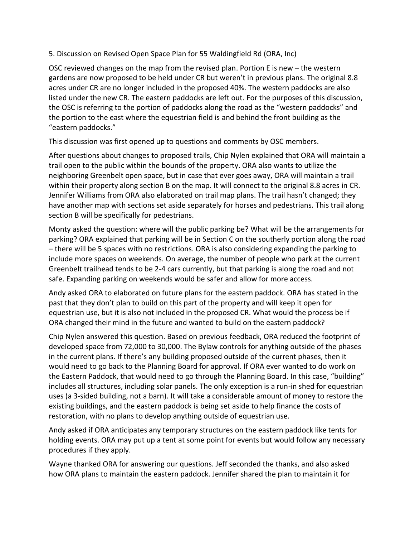# 5. Discussion on Revised Open Space Plan for 55 Waldingfield Rd (ORA, Inc)

OSC reviewed changes on the map from the revised plan. Portion E is new – the western gardens are now proposed to be held under CR but weren't in previous plans. The original 8.8 acres under CR are no longer included in the proposed 40%. The western paddocks are also listed under the new CR. The eastern paddocks are left out. For the purposes of this discussion, the OSC is referring to the portion of paddocks along the road as the "western paddocks" and the portion to the east where the equestrian field is and behind the front building as the "eastern paddocks."

This discussion was first opened up to questions and comments by OSC members.

After questions about changes to proposed trails, Chip Nylen explained that ORA will maintain a trail open to the public within the bounds of the property. ORA also wants to utilize the neighboring Greenbelt open space, but in case that ever goes away, ORA will maintain a trail within their property along section B on the map. It will connect to the original 8.8 acres in CR. Jennifer Williams from ORA also elaborated on trail map plans. The trail hasn't changed; they have another map with sections set aside separately for horses and pedestrians. This trail along section B will be specifically for pedestrians.

Monty asked the question: where will the public parking be? What will be the arrangements for parking? ORA explained that parking will be in Section C on the southerly portion along the road – there will be 5 spaces with no restrictions. ORA is also considering expanding the parking to include more spaces on weekends. On average, the number of people who park at the current Greenbelt trailhead tends to be 2-4 cars currently, but that parking is along the road and not safe. Expanding parking on weekends would be safer and allow for more access.

Andy asked ORA to elaborated on future plans for the eastern paddock. ORA has stated in the past that they don't plan to build on this part of the property and will keep it open for equestrian use, but it is also not included in the proposed CR. What would the process be if ORA changed their mind in the future and wanted to build on the eastern paddock?

Chip Nylen answered this question. Based on previous feedback, ORA reduced the footprint of developed space from 72,000 to 30,000. The Bylaw controls for anything outside of the phases in the current plans. If there's any building proposed outside of the current phases, then it would need to go back to the Planning Board for approval. If ORA ever wanted to do work on the Eastern Paddock, that would need to go through the Planning Board. In this case, "building" includes all structures, including solar panels. The only exception is a run-in shed for equestrian uses (a 3-sided building, not a barn). It will take a considerable amount of money to restore the existing buildings, and the eastern paddock is being set aside to help finance the costs of restoration, with no plans to develop anything outside of equestrian use.

Andy asked if ORA anticipates any temporary structures on the eastern paddock like tents for holding events. ORA may put up a tent at some point for events but would follow any necessary procedures if they apply.

Wayne thanked ORA for answering our questions. Jeff seconded the thanks, and also asked how ORA plans to maintain the eastern paddock. Jennifer shared the plan to maintain it for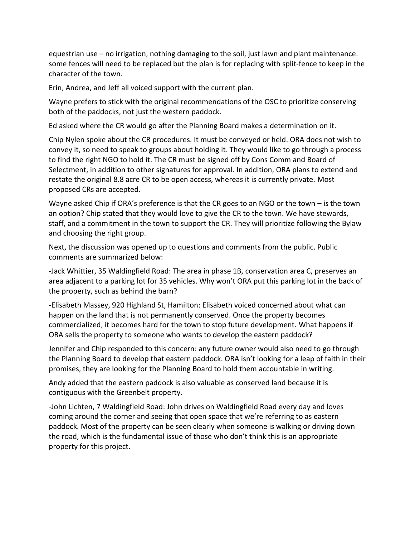equestrian use – no irrigation, nothing damaging to the soil, just lawn and plant maintenance. some fences will need to be replaced but the plan is for replacing with split-fence to keep in the character of the town.

Erin, Andrea, and Jeff all voiced support with the current plan.

Wayne prefers to stick with the original recommendations of the OSC to prioritize conserving both of the paddocks, not just the western paddock.

Ed asked where the CR would go after the Planning Board makes a determination on it.

Chip Nylen spoke about the CR procedures. It must be conveyed or held. ORA does not wish to convey it, so need to speak to groups about holding it. They would like to go through a process to find the right NGO to hold it. The CR must be signed off by Cons Comm and Board of Selectment, in addition to other signatures for approval. In addition, ORA plans to extend and restate the original 8.8 acre CR to be open access, whereas it is currently private. Most proposed CRs are accepted.

Wayne asked Chip if ORA's preference is that the CR goes to an NGO or the town – is the town an option? Chip stated that they would love to give the CR to the town. We have stewards, staff, and a commitment in the town to support the CR. They will prioritize following the Bylaw and choosing the right group.

Next, the discussion was opened up to questions and comments from the public. Public comments are summarized below:

-Jack Whittier, 35 Waldingfield Road: The area in phase 1B, conservation area C, preserves an area adjacent to a parking lot for 35 vehicles. Why won't ORA put this parking lot in the back of the property, such as behind the barn?

-Elisabeth Massey, 920 Highland St, Hamilton: Elisabeth voiced concerned about what can happen on the land that is not permanently conserved. Once the property becomes commercialized, it becomes hard for the town to stop future development. What happens if ORA sells the property to someone who wants to develop the eastern paddock?

Jennifer and Chip responded to this concern: any future owner would also need to go through the Planning Board to develop that eastern paddock. ORA isn't looking for a leap of faith in their promises, they are looking for the Planning Board to hold them accountable in writing.

Andy added that the eastern paddock is also valuable as conserved land because it is contiguous with the Greenbelt property.

-John Lichten, 7 Waldingfield Road: John drives on Waldingfield Road every day and loves coming around the corner and seeing that open space that we're referring to as eastern paddock. Most of the property can be seen clearly when someone is walking or driving down the road, which is the fundamental issue of those who don't think this is an appropriate property for this project.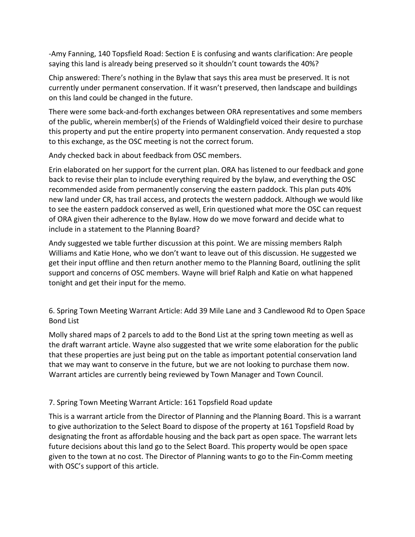-Amy Fanning, 140 Topsfield Road: Section E is confusing and wants clarification: Are people saying this land is already being preserved so it shouldn't count towards the 40%?

Chip answered: There's nothing in the Bylaw that says this area must be preserved. It is not currently under permanent conservation. If it wasn't preserved, then landscape and buildings on this land could be changed in the future.

There were some back-and-forth exchanges between ORA representatives and some members of the public, wherein member(s) of the Friends of Waldingfield voiced their desire to purchase this property and put the entire property into permanent conservation. Andy requested a stop to this exchange, as the OSC meeting is not the correct forum.

Andy checked back in about feedback from OSC members.

Erin elaborated on her support for the current plan. ORA has listened to our feedback and gone back to revise their plan to include everything required by the bylaw, and everything the OSC recommended aside from permanently conserving the eastern paddock. This plan puts 40% new land under CR, has trail access, and protects the western paddock. Although we would like to see the eastern paddock conserved as well, Erin questioned what more the OSC can request of ORA given their adherence to the Bylaw. How do we move forward and decide what to include in a statement to the Planning Board?

Andy suggested we table further discussion at this point. We are missing members Ralph Williams and Katie Hone, who we don't want to leave out of this discussion. He suggested we get their input offline and then return another memo to the Planning Board, outlining the split support and concerns of OSC members. Wayne will brief Ralph and Katie on what happened tonight and get their input for the memo.

6. Spring Town Meeting Warrant Article: Add 39 Mile Lane and 3 Candlewood Rd to Open Space Bond List

Molly shared maps of 2 parcels to add to the Bond List at the spring town meeting as well as the draft warrant article. Wayne also suggested that we write some elaboration for the public that these properties are just being put on the table as important potential conservation land that we may want to conserve in the future, but we are not looking to purchase them now. Warrant articles are currently being reviewed by Town Manager and Town Council.

# 7. Spring Town Meeting Warrant Article: 161 Topsfield Road update

This is a warrant article from the Director of Planning and the Planning Board. This is a warrant to give authorization to the Select Board to dispose of the property at 161 Topsfield Road by designating the front as affordable housing and the back part as open space. The warrant lets future decisions about this land go to the Select Board. This property would be open space given to the town at no cost. The Director of Planning wants to go to the Fin-Comm meeting with OSC's support of this article.